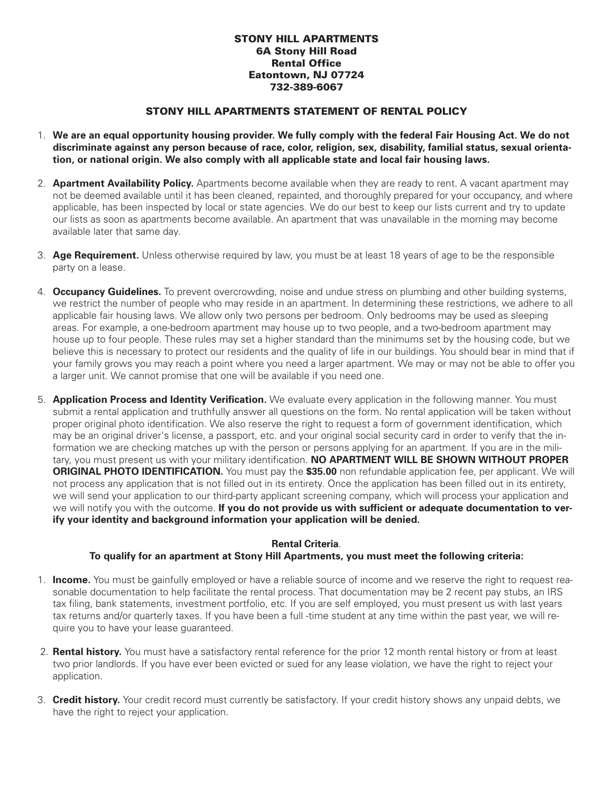## **STONY HILL APARTMENTS 6A Stony Hill Road Rental Office Eatontown, NJ 07724 732-389-6067**

## **STONY HILL APARTMENTS STATEMENT OF RENTAL POLICY**

- 1. We are an equal opportunity housing provider. We fully comply with the federal Fair Housing Act. We do not **discriminate against any person because of race, color, religion, sex, disability, familial status, sexual orientation, or national origin. We also comply with all applicable state and local fair housing laws.**
- 2. **Apartment Availability Policy.** Apartments become available when they are ready to rent. A vacant apartment may not be deemed available until it has been cleaned, repainted, and thoroughly prepared for your occupancy, and where applicable, has been inspected by local or state agencies. We do our best to keep our lists current and try to update our lists as soon as apartments become available. An apartment that was unavailable in the morning may become available later that same day.
- 3. **Age Requirement.** Unless otherwise required by law, you must be at least 18 years of age to be the responsible party on a lease.
- 4. **Occupancy Guidelines.** To prevent overcrowding, noise and undue stress on plumbing and other building systems, we restrict the number of people who may reside in an apartment. In determining these restrictions, we adhere to all applicable fair housing laws. We allow only two persons per bedroom. Only bedrooms may be used as sleeping areas. For example, a one-bedroom apartment may house up to two people, and a two-bedroom apartment may house up to four people. These rules may set a higher standard than the minimums set by the housing code, but we believe this is necessary to protect our residents and the quality of life in our buildings. You should bear in mind that if your family grows you may reach a point where you need a larger apartment. We may or may not be able to offer you a larger unit. We cannot promise that one will be available if you need one.
- 5. **Application Process and Identity Verification.** We evaluate every application in the following manner. You must submit a rental application and truthfully answer all questions on the form. No rental application will be taken without proper original photo identification. We also reserve the right to request a form of government identification, which may be an original driver's license, a passport, etc. and your original social security card in order to verify that the information we are checking matches up with the person or persons applying for an apartment. If you are in the military, you must present us with your military identification. **NO APARTMENT WILL BE SHOWN WITHOUT PROPER ORIGINAL PHOTO IDENTIFICATION.** You must pay the **\$35.00** non refundable application fee, per applicant. We will not process any application that is not filled out in its entirety. Once the application has been filled out in its entirety, we will send your application to our third-party applicant screening company, which will process your application and we will notify you with the outcome. **If you do not provide us with sufficient or adequate documentation to verify your identity and background information your application will be denied.**

#### **Rental Criteria**.

## **To qualify for an apartment at Stony Hill Apartments, you must meet the following criteria:**

- 1. **Income.** You must be gainfully employed or have a reliable source of income and we reserve the right to request reasonable documentation to help facilitate the rental process. That documentation may be 2 recent pay stubs, an IRS tax filing, bank statements, investment portfolio, etc. If you are self employed, you must present us with last years tax returns and/or quarterly taxes. If you have been a full -time student at any time within the past year, we will require you to have your lease guaranteed.
- 2. **Rental history.** You must have a satisfactory rental reference for the prior 12 month rental history or from at least two prior landlords. If you have ever been evicted or sued for any lease violation, we have the right to reject your application.
- 3. **Credit history.** Your credit record must currently be satisfactory. If your credit history shows any unpaid debts, we have the right to reject your application.